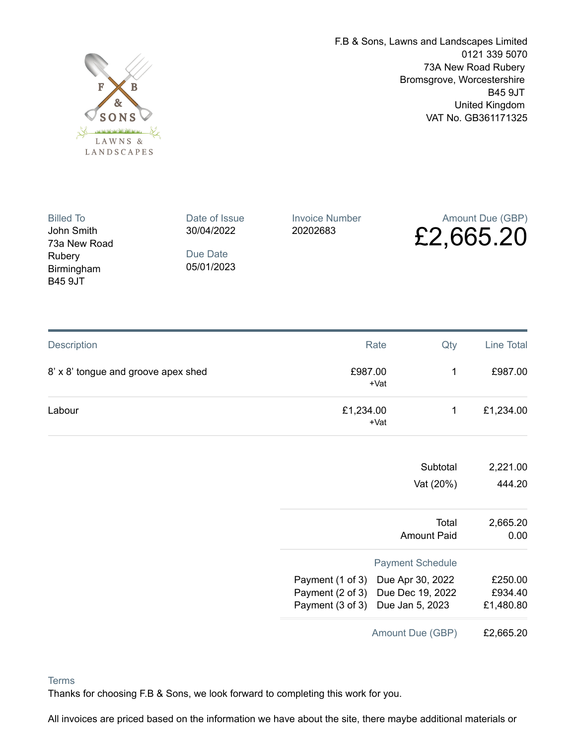

F.B & Sons, Lawns and Landscapes Limited 0121 339 5070 73A New Road Rubery Bromsgrove, Worcestershire B45 9JT United Kingdom VAT No. GB361171325

| <b>Billed To</b>                                       | Date of Issue          | <b>Invoice Number</b> | Amount Due (GBP) |
|--------------------------------------------------------|------------------------|-----------------------|------------------|
| John Smith                                             | 30/04/2022             | 20202683              | £2,665.20        |
| 73a New Road<br>Rubery<br>Birmingham<br><b>B45 9JT</b> | Due Date<br>05/01/2023 |                       |                  |

| Description                         |                                                                       | Rate<br>Qty                       | Line Total                      |
|-------------------------------------|-----------------------------------------------------------------------|-----------------------------------|---------------------------------|
| 8' x 8' tongue and groove apex shed | £987.00                                                               | 1<br>$+Vat$                       | £987.00                         |
| Labour                              | £1,234.00                                                             | 1<br>+Vat                         | £1,234.00                       |
|                                     |                                                                       | Subtotal                          | 2,221.00                        |
|                                     |                                                                       | Vat (20%)                         | 444.20                          |
|                                     |                                                                       | Total<br><b>Amount Paid</b>       | 2,665.20<br>0.00                |
|                                     | <b>Payment Schedule</b>                                               |                                   |                                 |
|                                     | Payment (1 of 3) Due Apr 30, 2022<br>Payment (3 of 3) Due Jan 5, 2023 | Payment (2 of 3) Due Dec 19, 2022 | £250.00<br>£934.40<br>£1,480.80 |
|                                     |                                                                       | Amount Due (GBP)                  | £2,665.20                       |

## **Terms**

Thanks for choosing F.B & Sons, we look forward to completing this work for you.

All invoices are priced based on the information we have about the site, there maybe additional materials or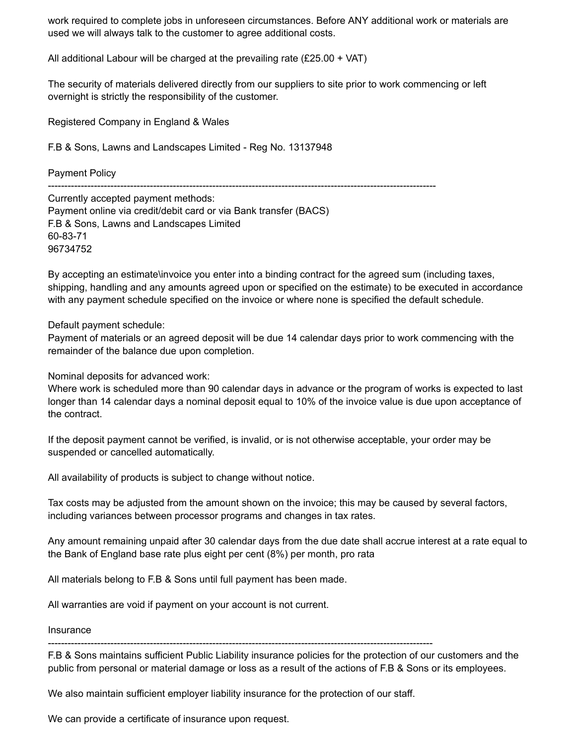work required to complete jobs in unforeseen circumstances. Before ANY additional work or materials are used we will always talk to the customer to agree additional costs.

All additional Labour will be charged at the prevailing rate  $(E25.00 + VAT)$ 

The security of materials delivered directly from our suppliers to site prior to work commencing or left overnight is strictly the responsibility of the customer.

Registered Company in England & Wales

F.B & Sons, Lawns and Landscapes Limited - Reg No. 13137948

Payment Policy

Currently accepted payment methods: Payment online via credit/debit card or via Bank transfer (BACS) F.B & Sons, Lawns and Landscapes Limited 60-83-71 96734752

By accepting an estimate\invoice you enter into a binding contract for the agreed sum (including taxes, shipping, handling and any amounts agreed upon or specified on the estimate) to be executed in accordance with any payment schedule specified on the invoice or where none is specified the default schedule.

Default payment schedule:

Payment of materials or an agreed deposit will be due 14 calendar days prior to work commencing with the remainder of the balance due upon completion.

Nominal deposits for advanced work:

Where work is scheduled more than 90 calendar days in advance or the program of works is expected to last longer than 14 calendar days a nominal deposit equal to 10% of the invoice value is due upon acceptance of the contract.

If the deposit payment cannot be verified, is invalid, or is not otherwise acceptable, your order may be suspended or cancelled automatically.

All availability of products is subject to change without notice.

Tax costs may be adjusted from the amount shown on the invoice; this may be caused by several factors, including variances between processor programs and changes in tax rates.

Any amount remaining unpaid after 30 calendar days from the due date shall accrue interest at a rate equal to the Bank of England base rate plus eight per cent (8%) per month, pro rata

All materials belong to F.B & Sons until full payment has been made.

All warranties are void if payment on your account is not current.

Insurance

---------------------------------------------------------------------------------------------------------------------

F.B & Sons maintains sufficient Public Liability insurance policies for the protection of our customers and the public from personal or material damage or loss as a result of the actions of F.B & Sons or its employees.

We also maintain sufficient employer liability insurance for the protection of our staff.

We can provide a certificate of insurance upon request.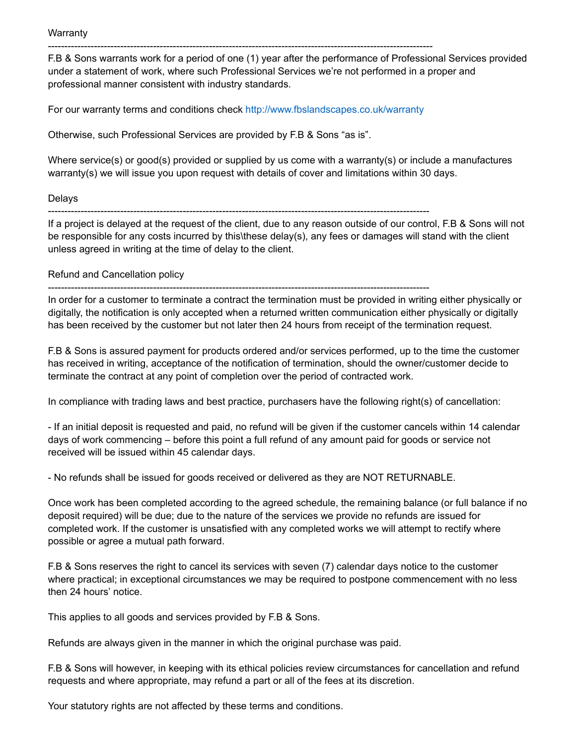**Warranty** 

--------------------------------------------------------------------------------------------------------------------- F.B & Sons warrants work for a period of one (1) year after the performance of Professional Services provided under a statement of work, where such Professional Services we're not performed in a proper and professional manner consistent with industry standards.

For our warranty terms and conditions check <http://www.fbslandscapes.co.uk/warranty>

Otherwise, such Professional Services are provided by F.B & Sons "as is".

Where service(s) or good(s) provided or supplied by us come with a warranty(s) or include a manufactures warranty(s) we will issue you upon request with details of cover and limitations within 30 days.

## Delays

--------------------------------------------------------------------------------------------------------------------

If a project is delayed at the request of the client, due to any reason outside of our control, F.B & Sons will not be responsible for any costs incurred by this\these delay(s), any fees or damages will stand with the client unless agreed in writing at the time of delay to the client.

## Refund and Cancellation policy

--------------------------------------------------------------------------------------------------------------------

In order for a customer to terminate a contract the termination must be provided in writing either physically or digitally, the notification is only accepted when a returned written communication either physically or digitally has been received by the customer but not later then 24 hours from receipt of the termination request.

F.B & Sons is assured payment for products ordered and/or services performed, up to the time the customer has received in writing, acceptance of the notification of termination, should the owner/customer decide to terminate the contract at any point of completion over the period of contracted work.

In compliance with trading laws and best practice, purchasers have the following right(s) of cancellation:

- If an initial deposit is requested and paid, no refund will be given if the customer cancels within 14 calendar days of work commencing – before this point a full refund of any amount paid for goods or service not received will be issued within 45 calendar days.

- No refunds shall be issued for goods received or delivered as they are NOT RETURNABLE.

Once work has been completed according to the agreed schedule, the remaining balance (or full balance if no deposit required) will be due; due to the nature of the services we provide no refunds are issued for completed work. If the customer is unsatisfied with any completed works we will attempt to rectify where possible or agree a mutual path forward.

F.B & Sons reserves the right to cancel its services with seven (7) calendar days notice to the customer where practical; in exceptional circumstances we may be required to postpone commencement with no less then 24 hours' notice.

This applies to all goods and services provided by F.B & Sons.

Refunds are always given in the manner in which the original purchase was paid.

F.B & Sons will however, in keeping with its ethical policies review circumstances for cancellation and refund requests and where appropriate, may refund a part or all of the fees at its discretion.

Your statutory rights are not affected by these terms and conditions.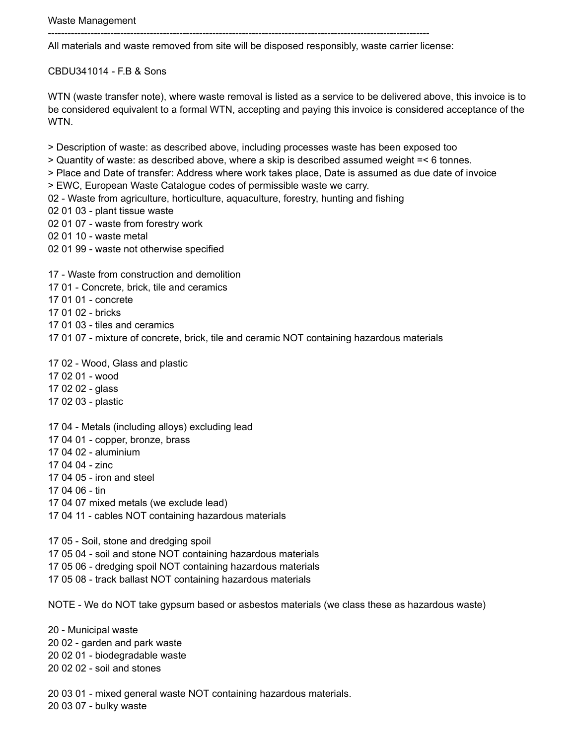-------------------------------------------------------------------------------------------------------------------- All materials and waste removed from site will be disposed responsibly, waste carrier license:

CBDU341014 - F.B & Sons

WTN (waste transfer note), where waste removal is listed as a service to be delivered above, this invoice is to be considered equivalent to a formal WTN, accepting and paying this invoice is considered acceptance of the WTN.

> Description of waste: as described above, including processes waste has been exposed too

> Quantity of waste: as described above, where a skip is described assumed weight =< 6 tonnes.

> Place and Date of transfer: Address where work takes place, Date is assumed as due date of invoice

> EWC, European Waste Catalogue codes of permissible waste we carry.

- 02 Waste from agriculture, horticulture, aquaculture, forestry, hunting and fishing
- 02 01 03 plant tissue waste
- 02 01 07 waste from forestry work
- 02 01 10 waste metal
- 02 01 99 waste not otherwise specified

17 - Waste from construction and demolition

- 17 01 Concrete, brick, tile and ceramics
- 17 01 01 concrete
- 17 01 02 bricks
- 17 01 03 tiles and ceramics
- 17 01 07 mixture of concrete, brick, tile and ceramic NOT containing hazardous materials

17 02 - Wood, Glass and plastic

- 17 02 01 wood
- 17 02 02 glass
- 17 02 03 plastic

17 04 - Metals (including alloys) excluding lead

- 17 04 01 copper, bronze, brass
- 17 04 02 aluminium
- 17 04 04 zinc
- 17 04 05 iron and steel
- 17 04 06 tin
- 17 04 07 mixed metals (we exclude lead)
- 17 04 11 cables NOT containing hazardous materials

17 05 - Soil, stone and dredging spoil

- 17 05 04 soil and stone NOT containing hazardous materials
- 17 05 06 dredging spoil NOT containing hazardous materials
- 17 05 08 track ballast NOT containing hazardous materials

NOTE - We do NOT take gypsum based or asbestos materials (we class these as hazardous waste)

20 - Municipal waste 20 02 - garden and park waste 20 02 01 - biodegradable waste 20 02 02 - soil and stones

20 03 01 - mixed general waste NOT containing hazardous materials. 20 03 07 - bulky waste